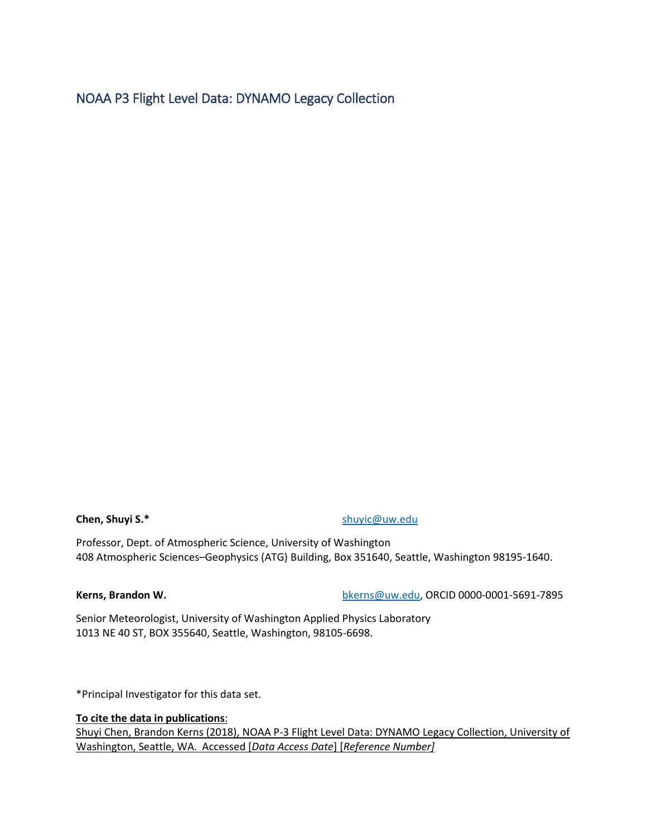# NOAA P3 Flight Level Data: DYNAMO Legacy Collection

**Chen, Shuyi S.\*** [shuyic@uw.edu](mailto:shuyic@uw.edu)

Professor, Dept. of Atmospheric Science, University of Washington 408 Atmospheric Sciences–Geophysics (ATG) Building, Box 351640, Seattle, Washington 98195-1640.

**Kerns, Brandon W.** [bkerns@uw.edu,](mailto:bkerns@uw.edu) ORCID 0000-0001-5691-7895

Senior Meteorologist, University of Washington Applied Physics Laboratory 1013 NE 40 ST, BOX 355640, Seattle, Washington, 98105-6698.

\*Principal Investigator for this data set.

### **To cite the data in publications**:

Shuyi Chen, Brandon Kerns (2018), NOAA P-3 Flight Level Data: DYNAMO Legacy Collection, University of Washington, Seattle, WA. Accessed [*Data Access Date*] [*Reference Number]*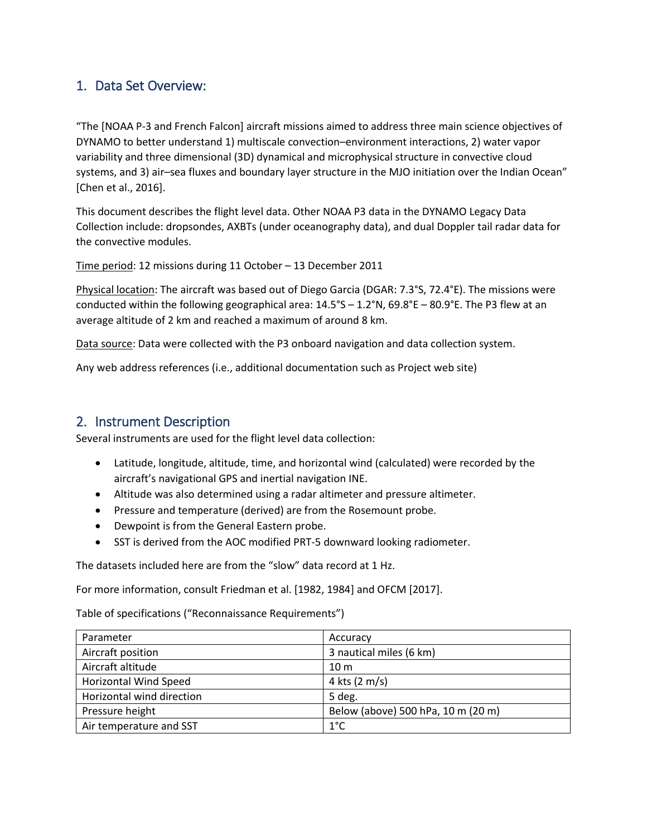# 1. Data Set Overview:

"The [NOAA P-3 and French Falcon] aircraft missions aimed to address three main science objectives of DYNAMO to better understand 1) multiscale convection–environment interactions, 2) water vapor variability and three dimensional (3D) dynamical and microphysical structure in convective cloud systems, and 3) air–sea fluxes and boundary layer structure in the MJO initiation over the Indian Ocean" [Chen et al., 2016].

This document describes the flight level data. Other NOAA P3 data in the DYNAMO Legacy Data Collection include: dropsondes, AXBTs (under oceanography data), and dual Doppler tail radar data for the convective modules.

Time period: 12 missions during 11 October – 13 December 2011

Physical location: The aircraft was based out of Diego Garcia (DGAR: 7.3°S, 72.4°E). The missions were conducted within the following geographical area: 14.5°S – 1.2°N, 69.8°E – 80.9°E. The P3 flew at an average altitude of 2 km and reached a maximum of around 8 km.

Data source: Data were collected with the P3 onboard navigation and data collection system.

Any web address references (i.e., additional documentation such as Project web site)

## 2. Instrument Description

Several instruments are used for the flight level data collection:

- Latitude, longitude, altitude, time, and horizontal wind (calculated) were recorded by the aircraft's navigational GPS and inertial navigation INE.
- Altitude was also determined using a radar altimeter and pressure altimeter.
- Pressure and temperature (derived) are from the Rosemount probe.
- Dewpoint is from the General Eastern probe.
- SST is derived from the AOC modified PRT-5 downward looking radiometer.

The datasets included here are from the "slow" data record at 1 Hz.

For more information, consult Friedman et al. [1982, 1984] and OFCM [2017].

Table of specifications ("Reconnaissance Requirements")

| Parameter                    | Accuracy                           |
|------------------------------|------------------------------------|
| Aircraft position            | 3 nautical miles (6 km)            |
| Aircraft altitude            | 10 <sub>m</sub>                    |
| <b>Horizontal Wind Speed</b> | 4 kts $(2 \text{ m/s})$            |
| Horizontal wind direction    | 5 deg.                             |
| Pressure height              | Below (above) 500 hPa, 10 m (20 m) |
| Air temperature and SST      | $1^{\circ}$ C                      |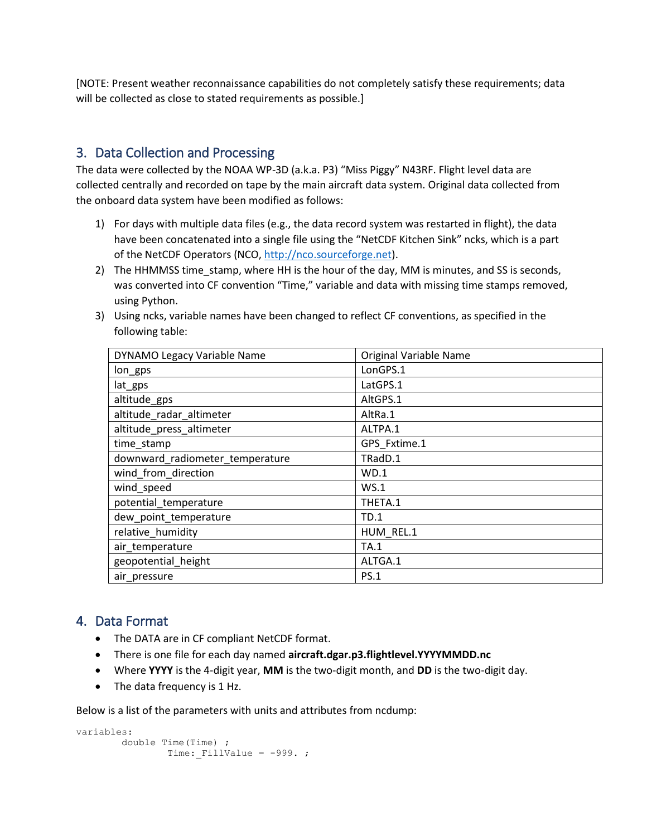[NOTE: Present weather reconnaissance capabilities do not completely satisfy these requirements; data will be collected as close to stated requirements as possible.]

# 3. Data Collection and Processing

The data were collected by the NOAA WP-3D (a.k.a. P3) "Miss Piggy" N43RF. Flight level data are collected centrally and recorded on tape by the main aircraft data system. Original data collected from the onboard data system have been modified as follows:

- 1) For days with multiple data files (e.g., the data record system was restarted in flight), the data have been concatenated into a single file using the "NetCDF Kitchen Sink" ncks, which is a part of the NetCDF Operators (NCO, [http://nco.sourceforge.net\)](http://nco.sourceforge.net/).
- 2) The HHMMSS time\_stamp, where HH is the hour of the day, MM is minutes, and SS is seconds, was converted into CF convention "Time," variable and data with missing time stamps removed, using Python.
- 3) Using ncks, variable names have been changed to reflect CF conventions, as specified in the following table:

| DYNAMO Legacy Variable Name     | Original Variable Name |
|---------------------------------|------------------------|
| lon_gps                         | LonGPS.1               |
| lat_gps                         | LatGPS.1               |
| altitude_gps                    | AltGPS.1               |
| altitude_radar_altimeter        | AltRa.1                |
| altitude_press_altimeter        | ALTPA.1                |
| time_stamp                      | GPS_Fxtime.1           |
| downward_radiometer_temperature | TRadD.1                |
| wind_from_direction             | WD.1                   |
| wind_speed                      | WS.1                   |
| potential_temperature           | THETA.1                |
| dew_point_temperature           | TD.1                   |
| relative_humidity               | HUM REL.1              |
| air_temperature                 | <b>TA.1</b>            |
| geopotential height             | ALTGA.1                |
| air_pressure                    | <b>PS.1</b>            |

# 4. Data Format

- The DATA are in CF compliant NetCDF format.
- There is one file for each day named **aircraft.dgar.p3.flightlevel.YYYYMMDD.nc**
- Where **YYYY** is the 4-digit year, **MM** is the two-digit month, and **DD** is the two-digit day.
- The data frequency is 1 Hz.

Below is a list of the parameters with units and attributes from ncdump:

```
variables:
        double Time(Time) ;
               Time: FillValue = -999.;
```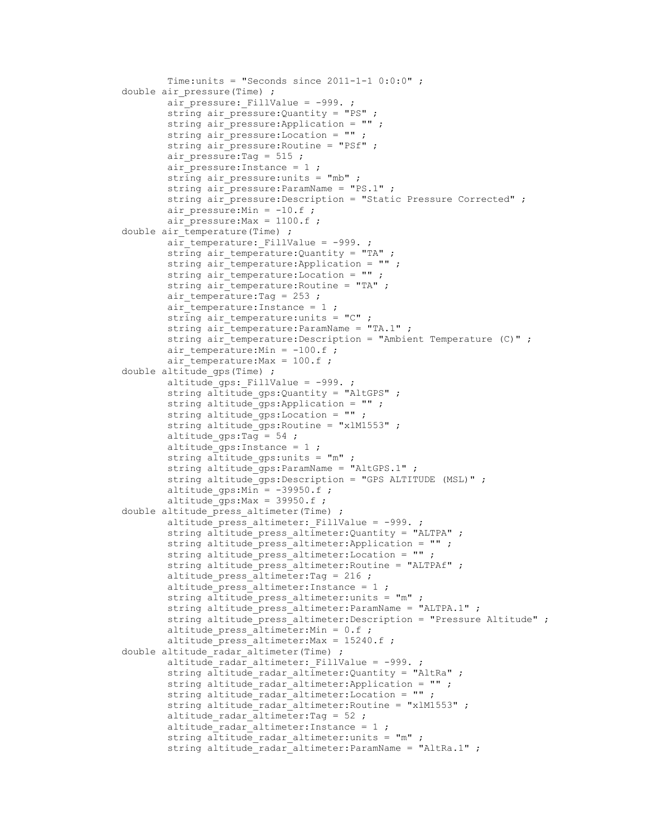```
Time:units = "Seconds since 2011-1-1 0:0:0";
       double air pressure(Time) ;
                air pressure: FillValue = -999.;
                 string air_pressure:Quantity = "PS" ;
                 string air_pressure:Application = "" ;
                 string air_pressure:Location = "" ;
                 string air_pressure:Routine = "PSf" ;
                 air_pressure:Tag = 515 ;
                air pressure: Instance = 1 ;
                 string air_pressure:units = "mb" ;
                string air_pressure: ParamName = "PS.1" ;
                 string air_pressure:Description = "Static Pressure Corrected" ;
                air_pressure:Min = -10.f ;
                air_pressure:Max = 1100.f ;
       double air temperature(Time) ;
               air temperature: FillValue = -999.;
                string air temperature: Quantity = "TA" ;
                 string air_temperature:Application = "" ;
                string air_temperature: Location = ""
                 string air_temperature:Routine = "TA" ;
                air_temperature:Tag = 253 ;
                air_temperature:Instance = 1 ;
                string air_temperature:units = "C" ;
string air temperature:ParamName = "TA.1" ;
string air temperature: Description = "Ambient Temperature (C)" ;
               air temperature: Min = -100.f ;
               air temperature: Max = 100.f ;
       double \text{altitude}gps(Time) ;
               altitude_gps: FillValue = -999.;
               string altitude gps: Quantity = "AltGPS" ;
               string altitude gps:Application = "" ;
               string altitude gps: Location = "";
                string altitude_gps:Routine = "xlM1553" ;
               altitude gps:Tag = 54;
                altitude_gps:Instance = 1 ;
                 string altitude_gps:units = "m" ;
                string altitude_gps: ParamName = "AltGPS.1" ;
                 string altitude_gps:Description = "GPS ALTITUDE (MSL)" ;
                altitude qps:Min = -39950.f;
               altitude qps:Max = 39950.f;
       double altitude press altimeter(Time) ;
               altitude press altimeter: FillValue = -999.;
                 string altitude_press_altimeter:Quantity = "ALTPA" ;
                string altitude press altimeter: Application = "" ;
                string altitude press altimeter: Location = "" ;
                string altitude press altimeter: Routine = "ALTPAf" ;
                altitude press altimeter: Tag = 216 ;
                altitude_press_altimeter:Instance = 1 ;
                string altitude_press_altimeter:units = "m" ;
                string altitude_press_altimeter:ParamName = "ALTPA.1" ;
                 string altitude_press_altimeter:Description = "Pressure Altitude" ;
                altitude press altimeter:Min = 0.f;
                 altitude_press_altimeter:Max = 15240.f ;
       double altitude radar altimeter(Time) ;
                 altitude_radar_altimeter:_FillValue = -999. ;
                 string altitude_radar_altimeter:Quantity = "AltRa" ;
               string altitude radar altimeter: Application = "" ;
               string altitude_radar_altimeter:Location = " ";
               string altitude radar altimeter: Routine = "xlM1553" ;
               altitude radar altimeter: Tag = 52;
               altitude radar altimeter: Instance = 1 ;
               string altitude_radar altimeter:units = "m" ;
                string altitude radar altimeter: ParamName = "AltRa.1" ;
```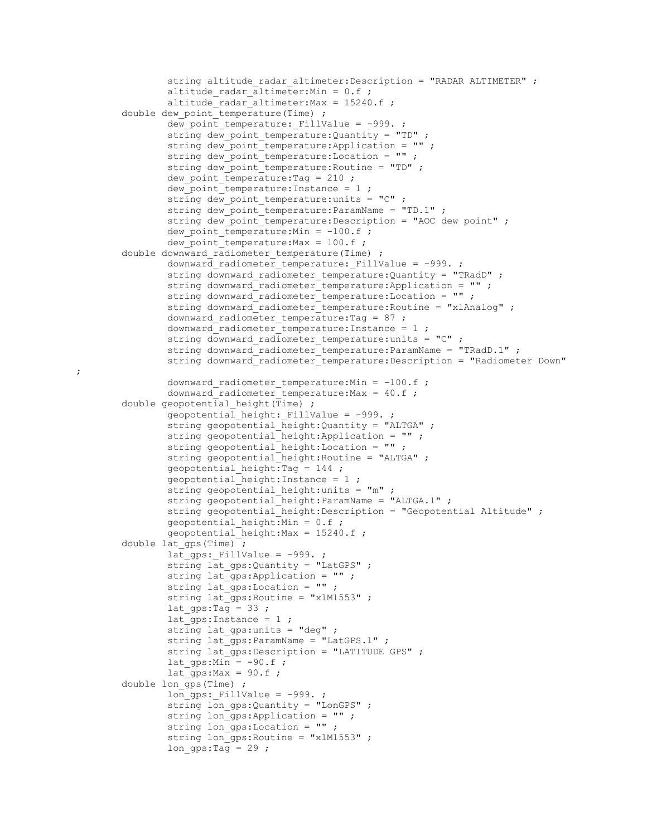```
string altitude radar altimeter: Description = "RADAR ALTIMETER" ;
                altitude radar \overline{a}ltimeter:Min = 0.f ;
                altitude radar altimeter: Max = 15240.f;
       double dew point temperature(Time) ;
                dew_point_temperature:_FillValue = -999. ;
                 string dew_point_temperature:Quantity = "TD" ;
                string dew_point_temperature: Application = "";
                 string dew_point_temperature:Location = "" ;
                 string dew_point_temperature:Routine = "TD" ;
                dew point temperature: Tag = 210 ;
                dew point temperature: Instance = 1 ;
                 string dew_point_temperature:units = "C" ;
                string dew point temperature: ParamName = "TD.1" ;
                string dew_point_temperature: Description = "AOC dew point" ;
                dew point temperature:Min = -100.f;
               dew point temperature: Max = 100 \text{ f};
       double downward radiometer temperature(Time) ;
                downward_radiometer_temperature:_FillValue = -999. ;
                 string downward_radiometer_temperature:Quantity = "TRadD" ;
                 string downward_radiometer_temperature:Application = "" ;
                 string downward_radiometer_temperature:Location = "" ;
                string downward\bar{r}radiometer\bar{r}temperature: Routine = "xlAnalog" ;
                downward_radiometer_temperature:Tag = 87 ;
                 downward_radiometer_temperature:Instance = 1 ;
                 string downward_radiometer_temperature:units = "C" ;
                string downward radiometer temperature: ParamName = "TRadD.1" ;
               string downward radiometer temperature: Description = "Radiometer Down"
               downward radiometer temperature:Min = -100.f ;
               downward radiometer temperature: Max = 40.f;
       double geopotential height(Time) ;
                geopotential height: FillValue = -999. ;
                string geopotential height:Quantity = "ALTGA" ;
                string geopotential height: Application = "" ;
                 string geopotential_height:Location = "" ;
                 string geopotential_height:Routine = "ALTGA" ;
geopotential height:Tag = 144 ;
geopotential height:Instance = 1 ;
                string geopotential height:units = m" ;
string geopotential height:ParamName = "ALTGA.1" ;
                string geopotential height: Description = "Geopotential Altitude" ;
               geopotential height:Min = 0.f;
               geopotential height: Max = 15240.f;
       double lat gps (Time) ;
               lat qps: FillValue = -999.;
                string lat gps: Quantity = "LatGPS" ;
                string lat gps:Application = "" ;
                 string lat_gps:Location = "" ;
                string lat_gps:Routine = "xlM1553" ;
               lat\_qps:Tag = 33;
                lat_gps:Instance = 1 ;
                 string lat_gps:units = "deg" ;
                string lat_gps: ParamName = "LatGPS.1" ;
                string lat_gps: Description = "LATITUDE GPS" ;
               lat\_qps:Min = -90.f;
               lat\_qps:Max = 90.f ;
       double lon gps (Time) ;
               lon\_qps: FillValue = -999. ;
               string lon gps:Quantity = "LonGPS" ;
               string lon qps:Application = "";
                 string lon_gps:Location = "" ;
               string lon gps: Routine = "xlM1553" ;
               lon\_qps:Tag = 29;
```
;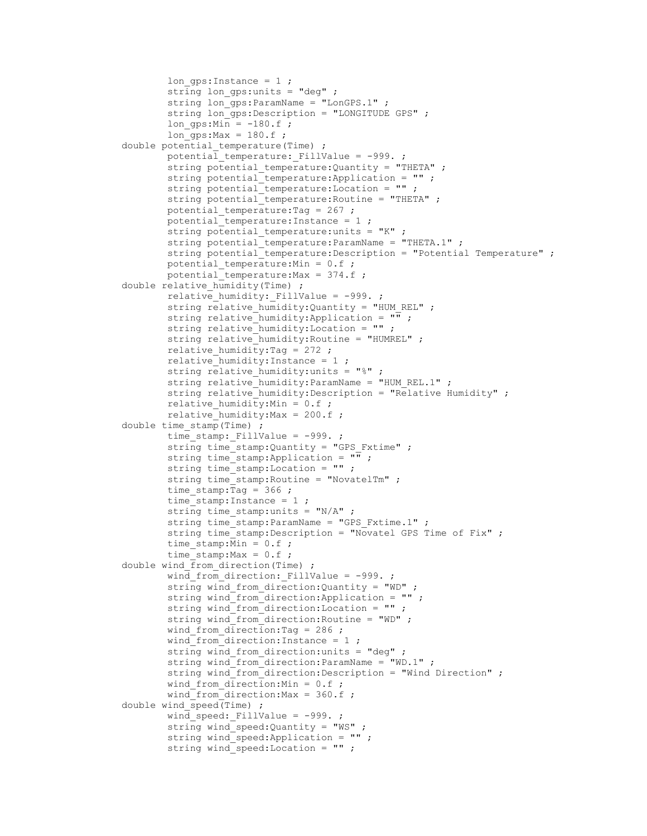```
lon qps:Instance = 1 ;
                string lon qps:units = "deg" ;
                 string lon_gps:ParamName = "LonGPS.1" ;
                 string lon_gps:Description = "LONGITUDE GPS" ;
                lon qps:Min = -180.f;
               \overline{\text{long}} gps:Max = 180.f;
       double potential temperature(Time) ;
               potential_temperature: FillValue = -999.;
string potential temperature: Quantity = "THETA" ;
string potential temperature:Application = "" ;
string potential temperature:Location = "" ;
                string potential temperature: Routine = "THETA" ;
               potential_temperature:Tag = 267 ;
                potential_temperature:Instance = 1 ;
               string potential temperature: units = "K" ;
                string potential temperature: ParamName = "THETA.1" ;
                string potential temperature: Description = "Potential Temperature" ;
               potential temperature: Min = 0.f;
               potential temperature: Max = 374.f ;
       double relative humidity(Time) ;
               relative_humidity:_FillValue = -999.;
                string relative humidity: Quantity = "HUM REL" ;
                 string relative_humidity:Application = "" ;
                 string relative_humidity:Location = "" ;
               string relative humidity: Routine = "HUMREL" ;
               relative humidity: Tag = 272 ;
               relative humidity: Instance = 1;
               string relative_humidity: units = "\" ;
               string relative humidity: ParamName = "HUM REL.1" ;
               string relative humidity: Description = "Relative Humidity" ;
               relative humidity: Min = 0.f;
               relative humidity: Max = 200.f;
        double time_stamp(Time) ;
               time stamp: FillValue = -999.;
                 string time_stamp:Quantity = "GPS_Fxtime" ;
                string time_stamp: Application = \overline{\mathbf{w}} ;
                 string time_stamp:Location = "" ;
                string time stamp: Routine = "NovatelTm" ;
                time stamp: Tag = 366;
               time stamp: Instance = 1;
                string time stamp: units = ''N/A'' ;
                string time stamp: ParamName = "GPS Fxtime.1" ;
                string time stamp: Description = "Novatel GPS Time of Fix" ;
                time stamp: Min = 0.f;
               time stamp: Max = 0.f;
       double wind from direction(Time) ;
               wind from direction: FillValue = -999.;
                 string wind_from_direction:Quantity = "WD" ;
                 string wind_from_direction:Application = "" ;
                string wind from direction: Location = ""
                 string wind_from_direction:Routine = "WD" ;
               wind from direction: Tag = 286 ;
               wind from direction: Instance = 1 ;
                 string wind_from_direction:units = "deg" ;
                 string wind_from_direction:ParamName = "WD.1" ;
                string wind from direction: Description = "Wind Direction" ;
               wind from direction: Min = 0.f;
               wind from direction: Max = 360.f;
       double wind speed(Time) ;
               wind speed: FillValue = -999.;
                string wind speed: Quantity = "WS" ;
                string wind speed:Application = "" ;
                 string wind_speed:Location = "" ;
```